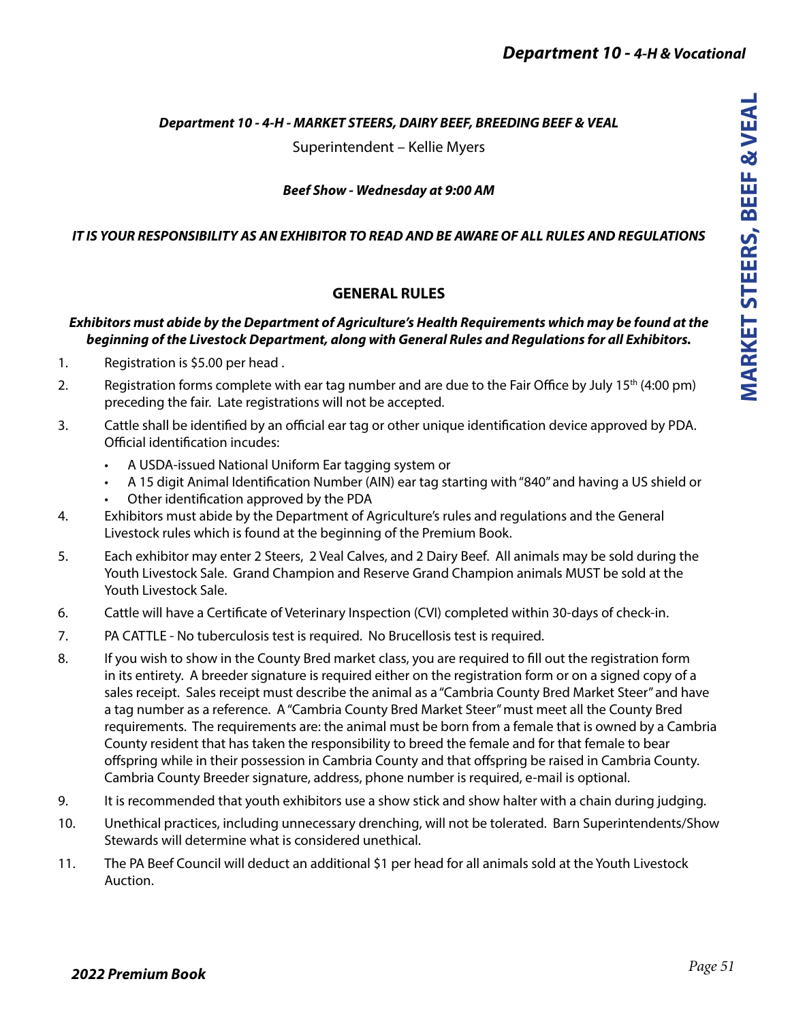## *Department 10 - 4-H - MARKET STEERS, DAIRY BEEF, BREEDING BEEF & VEAL*

Superintendent – Kellie Myers

### *Beef Show - Wednesday at 9:00 AM*

### *IT IS YOUR RESPONSIBILITY AS AN EXHIBITOR TO READ AND BE AWARE OF ALL RULES AND REGULATIONS*

## **GENERAL RULES**

## *Exhibitors must abide by the Department of Agriculture's Health Requirements which may be found at the beginning of the Livestock Department, along with General Rules and Regulations for all Exhibitors.*

- 1. Registration is \$5.00 per head .
- 2. Registration forms complete with ear tag number and are due to the Fair Office by July 15th (4:00 pm) preceding the fair. Late registrations will not be accepted.
- 3. Cattle shall be identified by an official ear tag or other unique identification device approved by PDA. Official identification incudes:
	- A USDA-issued National Uniform Ear tagging system or
	- A 15 digit Animal Identification Number (AIN) ear tag starting with "840" and having a US shield or
	- Other identification approved by the PDA
- 4. Exhibitors must abide by the Department of Agriculture's rules and regulations and the General Livestock rules which is found at the beginning of the Premium Book.
- 5. Each exhibitor may enter 2 Steers, 2 Veal Calves, and 2 Dairy Beef. All animals may be sold during the Youth Livestock Sale. Grand Champion and Reserve Grand Champion animals MUST be sold at the Youth Livestock Sale.
- 6. Cattle will have a Certificate of Veterinary Inspection (CVI) completed within 30-days of check-in.
- 7. PA CATTLE No tuberculosis test is required. No Brucellosis test is required.
- 8. If you wish to show in the County Bred market class, you are required to fill out the registration form in its entirety. A breeder signature is required either on the registration form or on a signed copy of a sales receipt. Sales receipt must describe the animal as a "Cambria County Bred Market Steer" and have a tag number as a reference. A "Cambria County Bred Market Steer" must meet all the County Bred requirements. The requirements are: the animal must be born from a female that is owned by a Cambria County resident that has taken the responsibility to breed the female and for that female to bear offspring while in their possession in Cambria County and that offspring be raised in Cambria County. Cambria County Breeder signature, address, phone number is required, e-mail is optional.
- 9. It is recommended that youth exhibitors use a show stick and show halter with a chain during judging.
- 10. Unethical practices, including unnecessary drenching, will not be tolerated. Barn Superintendents/Show Stewards will determine what is considered unethical.
- 11. The PA Beef Council will deduct an additional \$1 per head for all animals sold at the Youth Livestock Auction.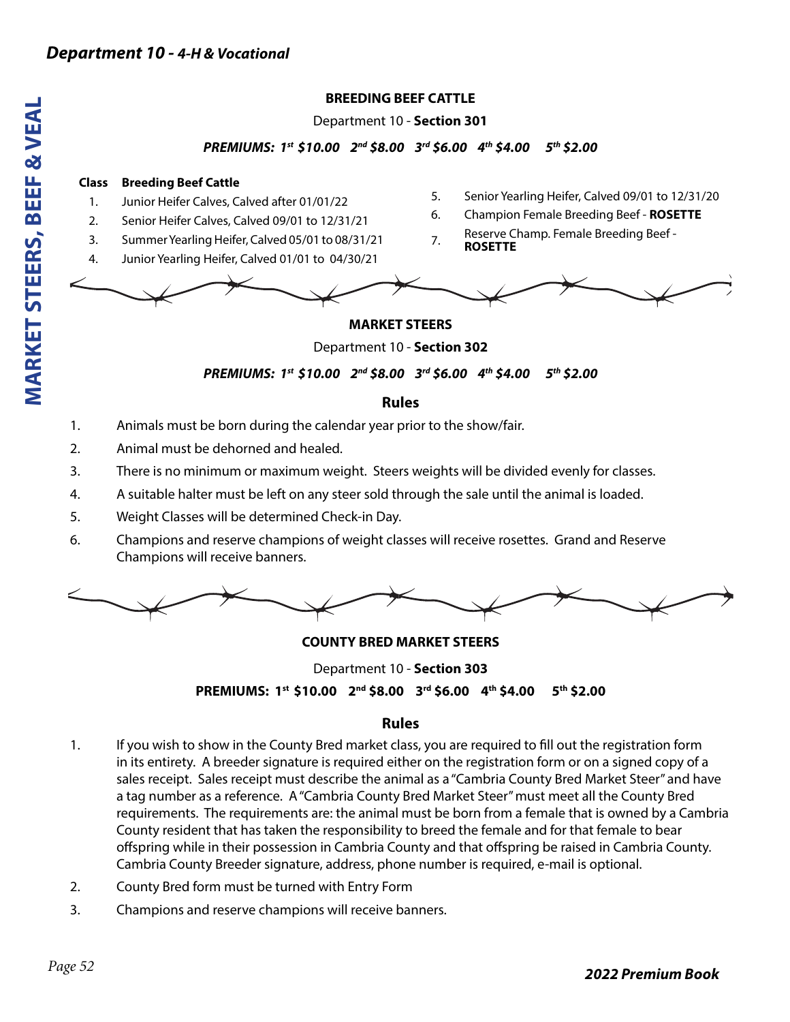## **BREEDING BEEF CATTLE**

Department 10 - **Section 301**

### *PREMIUMS: 1st \$10.00 2nd \$8.00 3rd \$6.00 4th \$4.00 5th \$2.00*

#### **Class Breeding Beef Cattle**

- 1. Junior Heifer Calves, Calved after 01/01/22
- 2. Senior Heifer Calves, Calved 09/01 to 12/31/21
- 3. Summer Yearling Heifer, Calved 05/01 to 08/31/21
- 4. Junior Yearling Heifer, Calved 01/01 to 04/30/21
- 5. Senior Yearling Heifer, Calved 09/01 to 12/31/20
- 6. Champion Female Breeding Beef **ROSETTE**
- 7. Reserve Champ. Female Breeding Beef -**ROSETTE**



## **MARKET STEERS**

Department 10 - **Section 302**

*PREMIUMS: 1st \$10.00 2nd \$8.00 3rd \$6.00 4th \$4.00 5th \$2.00* 

## **Rules**

- 1. Animals must be born during the calendar year prior to the show/fair.
- 2. Animal must be dehorned and healed.
- 3. There is no minimum or maximum weight. Steers weights will be divided evenly for classes.
- 4. A suitable halter must be left on any steer sold through the sale until the animal is loaded.
- 5. Weight Classes will be determined Check-in Day.
- 6. Champions and reserve champions of weight classes will receive rosettes. Grand and Reserve Champions will receive banners.



### **COUNTY BRED MARKET STEERS**

Department 10 - **Section 303 PREMIUMS: 1st \$10.00 2nd \$8.00 3rd \$6.00 4th \$4.00 5th \$2.00** 

# **Rules**

- 1. If you wish to show in the County Bred market class, you are required to fill out the registration form in its entirety. A breeder signature is required either on the registration form or on a signed copy of a sales receipt. Sales receipt must describe the animal as a "Cambria County Bred Market Steer" and have a tag number as a reference. A "Cambria County Bred Market Steer" must meet all the County Bred requirements. The requirements are: the animal must be born from a female that is owned by a Cambria County resident that has taken the responsibility to breed the female and for that female to bear offspring while in their possession in Cambria County and that offspring be raised in Cambria County. Cambria County Breeder signature, address, phone number is required, e-mail is optional.
- 2. County Bred form must be turned with Entry Form
- 3. Champions and reserve champions will receive banners.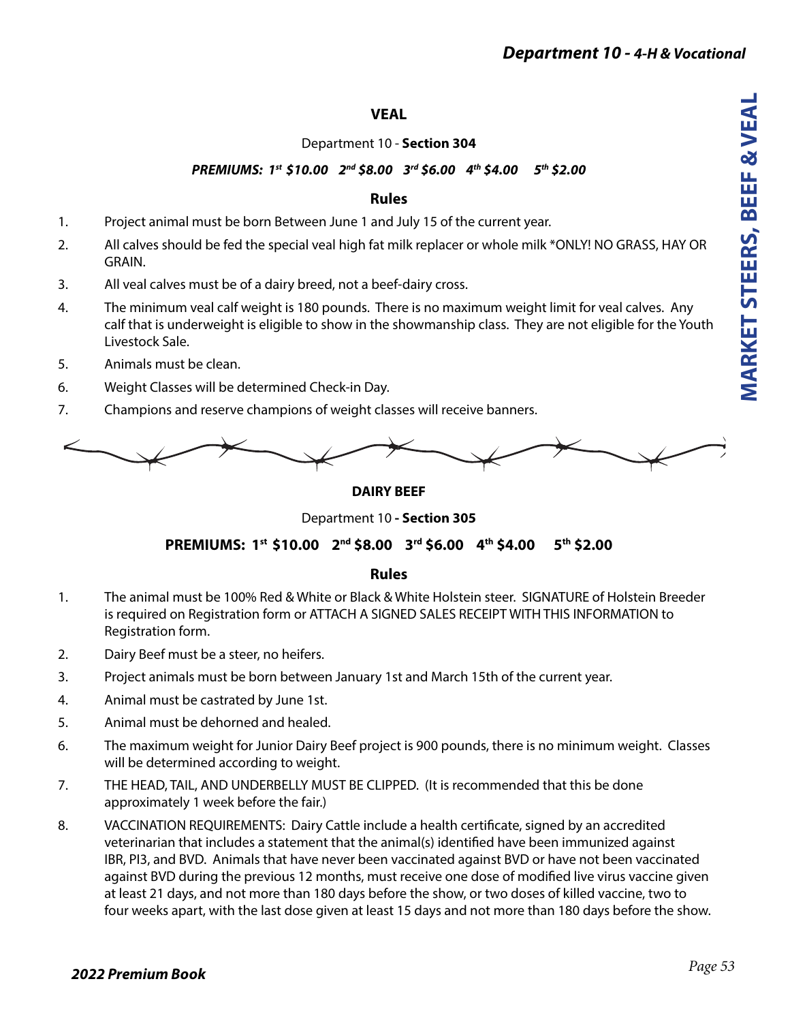# *Department 10 - 4-H & Vocational*

## **VEAL**

### Department 10 - **Section 304**

# *PREMIUMS: 1st \$10.00 2nd \$8.00 3rd \$6.00 4th \$4.00 5th \$2.00*

## **Rules**

- 1. Project animal must be born Between June 1 and July 15 of the current year.
- 2. All calves should be fed the special veal high fat milk replacer or whole milk \*ONLY! NO GRASS, HAY OR GRAIN.
- 3. All veal calves must be of a dairy breed, not a beef-dairy cross.
- 4. The minimum veal calf weight is 180 pounds. There is no maximum weight limit for veal calves. Any calf that is underweight is eligible to show in the showmanship class. They are not eligible for the Youth Livestock Sale.
- 5. Animals must be clean.
- 6. Weight Classes will be determined Check-in Day.
- 7. Champions and reserve champions of weight classes will receive banners.



#### **DAIRY BEEF**

Department 10 **- Section 305** 

### **PREMIUMS: 1st \$10.00 2nd \$8.00 3rd \$6.00 4th \$4.00 5th \$2.00**

### **Rules**

- 1. The animal must be 100% Red & White or Black & White Holstein steer. SIGNATURE of Holstein Breeder is required on Registration form or ATTACH A SIGNED SALES RECEIPT WITH THIS INFORMATION to Registration form.
- 2. Dairy Beef must be a steer, no heifers.
- 3. Project animals must be born between January 1st and March 15th of the current year.
- 4. Animal must be castrated by June 1st.
- 5. Animal must be dehorned and healed.
- 6. The maximum weight for Junior Dairy Beef project is 900 pounds, there is no minimum weight. Classes will be determined according to weight.
- 7. THE HEAD, TAIL, AND UNDERBELLY MUST BE CLIPPED. (It is recommended that this be done approximately 1 week before the fair.)
- 8. VACCINATION REQUIREMENTS: Dairy Cattle include a health certificate, signed by an accredited veterinarian that includes a statement that the animal(s) identified have been immunized against IBR, PI3, and BVD. Animals that have never been vaccinated against BVD or have not been vaccinated against BVD during the previous 12 months, must receive one dose of modified live virus vaccine given at least 21 days, and not more than 180 days before the show, or two doses of killed vaccine, two to four weeks apart, with the last dose given at least 15 days and not more than 180 days before the show.